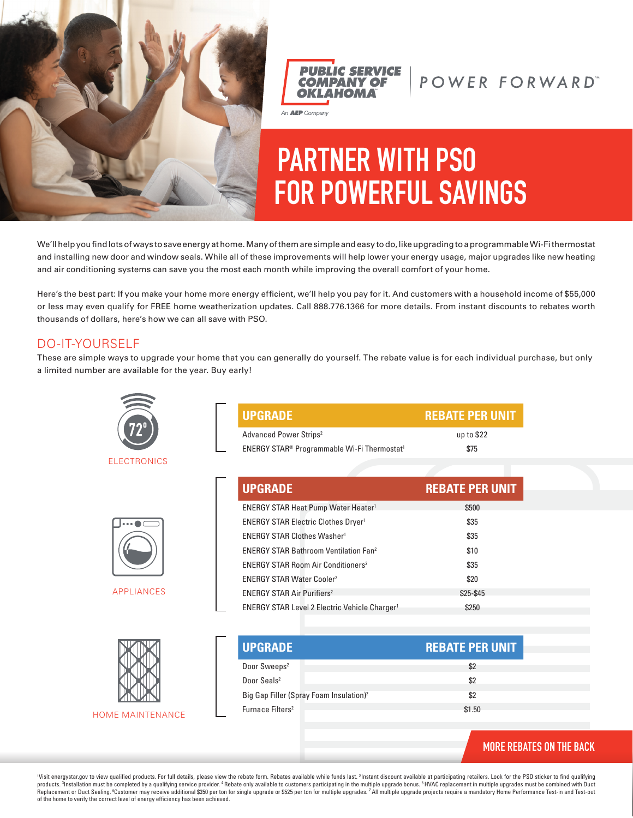



## POWER FORWARD"

# **PARTNER WITH PSO FOR POWERFUL SAVINGS**

We'll help you find lots of ways to save energy at home. Many of them are simple and easy to do, like upgrading to a programmable Wi-Fi thermostat and installing new door and window seals. While all of these improvements will help lower your energy usage, major upgrades like new heating and air conditioning systems can save you the most each month while improving the overall comfort of your home.

Here's the best part: If you make your home more energy efficient, we'll help you pay for it. And customers with a household income of \$55,000 or less may even qualify for FREE home weatherization updates. Call 888.776.1366 for more details. From instant discounts to rebates worth thousands of dollars, here's how we can all save with PSO.

#### DO-IT-YOURSELF

These are simple ways to upgrade your home that you can generally do yourself. The rebate value is for each individual purchase, but only a limited number are available for the year. Buy early!



**ELECTRONICS** 



APPLIANCES



**HOME MAINTENANCE** 

| <b>UPGRADE</b>                                                      | <b>REBATE PER UNIT</b> |
|---------------------------------------------------------------------|------------------------|
| Advanced Power Strips <sup>2</sup>                                  | up to $$22$            |
| ENERGY STAR <sup>®</sup> Programmable Wi-Fi Thermostat <sup>1</sup> | \$75                   |

| <b>UPGRADE</b>                                                  | <b>REBATE PER UNIT</b> |
|-----------------------------------------------------------------|------------------------|
| <b>ENERGY STAR Heat Pump Water Heater1</b>                      | \$500                  |
| <b>ENERGY STAR Electric Clothes Dryer1</b>                      | \$35                   |
| <b>ENERGY STAR Clothes Washer<sup>1</sup></b>                   | \$35                   |
| <b>ENERGY STAR Bathroom Ventilation Fan<sup>2</sup></b>         | \$10                   |
| <b>ENERGY STAR Room Air Conditioners<sup>2</sup></b>            | \$35                   |
| <b>ENERGY STAR Water Cooler<sup>2</sup></b>                     | \$20                   |
| <b>ENERGY STAR Air Purifiers<sup>2</sup></b>                    | \$25-\$45              |
| <b>ENERGY STAR Level 2 Electric Vehicle Charger<sup>1</sup></b> | \$250                  |

| <b>UPGRADE</b>                                      | <b>REBATE PER UNIT</b> |
|-----------------------------------------------------|------------------------|
| Door Sweeps <sup>2</sup>                            | \$2                    |
| Door Seals <sup>2</sup>                             | \$2                    |
| Big Gap Filler (Spray Foam Insulation) <sup>2</sup> | \$2                    |
| Furnace Filters <sup>2</sup>                        | \$1.50                 |
|                                                     |                        |

#### **MORE REBATES ON THE BACK**

<sup>1</sup>Visit energystar.gov to view qualified products. For full details, please view the rebate form. Rebates available while funds last. ?Instant discount available at participating retailers. Look for the PSO sticker to fin Replacement or Duct Sealing. ©Customer may receive additional \$350 per ton for single upgrade or \$525 per ton for multiple upgrades. <sup>7</sup> All multiple upgrade projects require a mandatory Home Performance Test-in and Test-o of the home to verify the correct level of energy efficiency has been achieved.